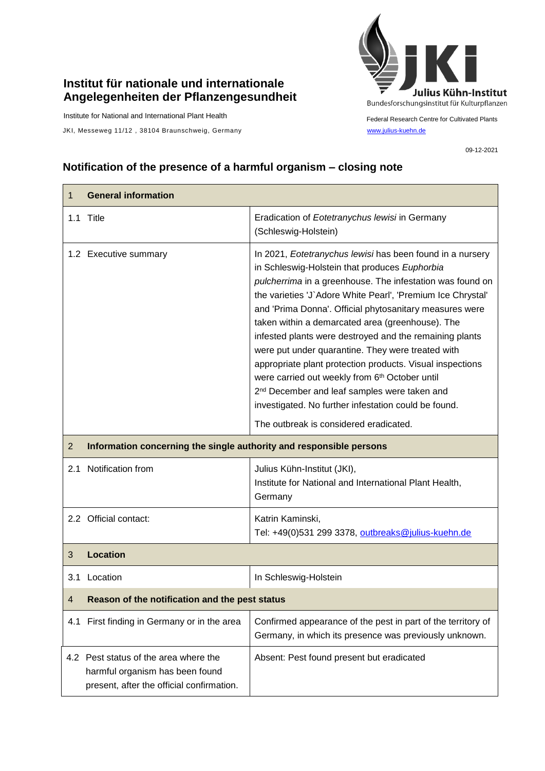## **Institut für nationale und internationale Angelegenheiten der Pflanzengesundheit**

Institute for National and International Plant Health

JKI, Messeweg 11/12, 38104 Braunschweig, Germany [www.julius-kuehn.de](http://www.julius-kuehn.de/)



Federal Research Centre for Cultivated Plants

09-12-2021

## **Notification of the presence of a harmful organism – closing note**

| 1              | <b>General information</b>                                                                                            |                                                                                                                                                                                                                                                                                                                                                                                                                                                                                                                                                                                                                                                                                                                                                     |  |
|----------------|-----------------------------------------------------------------------------------------------------------------------|-----------------------------------------------------------------------------------------------------------------------------------------------------------------------------------------------------------------------------------------------------------------------------------------------------------------------------------------------------------------------------------------------------------------------------------------------------------------------------------------------------------------------------------------------------------------------------------------------------------------------------------------------------------------------------------------------------------------------------------------------------|--|
|                | 1.1 Title                                                                                                             | Eradication of Eotetranychus lewisi in Germany<br>(Schleswig-Holstein)                                                                                                                                                                                                                                                                                                                                                                                                                                                                                                                                                                                                                                                                              |  |
|                | 1.2 Executive summary                                                                                                 | In 2021, Eotetranychus lewisi has been found in a nursery<br>in Schleswig-Holstein that produces Euphorbia<br>pulcherrima in a greenhouse. The infestation was found on<br>the varieties 'J' Adore White Pearl', 'Premium Ice Chrystal'<br>and 'Prima Donna'. Official phytosanitary measures were<br>taken within a demarcated area (greenhouse). The<br>infested plants were destroyed and the remaining plants<br>were put under quarantine. They were treated with<br>appropriate plant protection products. Visual inspections<br>were carried out weekly from 6th October until<br>2 <sup>nd</sup> December and leaf samples were taken and<br>investigated. No further infestation could be found.<br>The outbreak is considered eradicated. |  |
| $\overline{2}$ | Information concerning the single authority and responsible persons                                                   |                                                                                                                                                                                                                                                                                                                                                                                                                                                                                                                                                                                                                                                                                                                                                     |  |
| 2.1            | Notification from                                                                                                     | Julius Kühn-Institut (JKI),<br>Institute for National and International Plant Health,<br>Germany                                                                                                                                                                                                                                                                                                                                                                                                                                                                                                                                                                                                                                                    |  |
|                | 2.2 Official contact:                                                                                                 | Katrin Kaminski,<br>Tel: +49(0)531 299 3378, outbreaks@julius-kuehn.de                                                                                                                                                                                                                                                                                                                                                                                                                                                                                                                                                                                                                                                                              |  |
| 3              | <b>Location</b>                                                                                                       |                                                                                                                                                                                                                                                                                                                                                                                                                                                                                                                                                                                                                                                                                                                                                     |  |
| 3.1            | Location                                                                                                              | In Schleswig-Holstein                                                                                                                                                                                                                                                                                                                                                                                                                                                                                                                                                                                                                                                                                                                               |  |
| 4              | Reason of the notification and the pest status                                                                        |                                                                                                                                                                                                                                                                                                                                                                                                                                                                                                                                                                                                                                                                                                                                                     |  |
|                | 4.1 First finding in Germany or in the area                                                                           | Confirmed appearance of the pest in part of the territory of<br>Germany, in which its presence was previously unknown.                                                                                                                                                                                                                                                                                                                                                                                                                                                                                                                                                                                                                              |  |
|                | 4.2 Pest status of the area where the<br>harmful organism has been found<br>present, after the official confirmation. | Absent: Pest found present but eradicated                                                                                                                                                                                                                                                                                                                                                                                                                                                                                                                                                                                                                                                                                                           |  |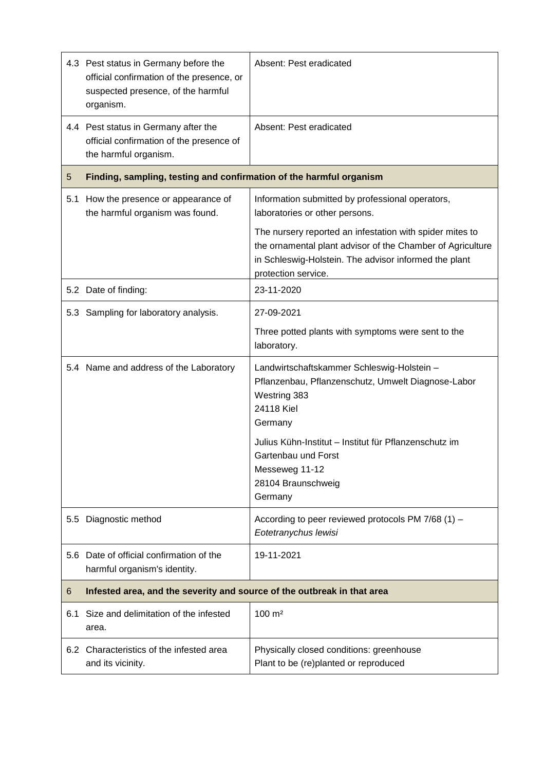|     | 4.3 Pest status in Germany before the<br>official confirmation of the presence, or<br>suspected presence, of the harmful<br>organism. | Absent: Pest eradicated                                                                                                                                                                                |  |
|-----|---------------------------------------------------------------------------------------------------------------------------------------|--------------------------------------------------------------------------------------------------------------------------------------------------------------------------------------------------------|--|
|     | 4.4 Pest status in Germany after the<br>official confirmation of the presence of<br>the harmful organism.                             | Absent: Pest eradicated                                                                                                                                                                                |  |
| 5   | Finding, sampling, testing and confirmation of the harmful organism                                                                   |                                                                                                                                                                                                        |  |
| 5.1 | How the presence or appearance of<br>the harmful organism was found.                                                                  | Information submitted by professional operators,<br>laboratories or other persons.                                                                                                                     |  |
|     |                                                                                                                                       | The nursery reported an infestation with spider mites to<br>the ornamental plant advisor of the Chamber of Agriculture<br>in Schleswig-Holstein. The advisor informed the plant<br>protection service. |  |
|     | 5.2 Date of finding:                                                                                                                  | 23-11-2020                                                                                                                                                                                             |  |
|     | 5.3 Sampling for laboratory analysis.                                                                                                 | 27-09-2021                                                                                                                                                                                             |  |
|     |                                                                                                                                       | Three potted plants with symptoms were sent to the<br>laboratory.                                                                                                                                      |  |
|     | 5.4 Name and address of the Laboratory                                                                                                | Landwirtschaftskammer Schleswig-Holstein -<br>Pflanzenbau, Pflanzenschutz, Umwelt Diagnose-Labor<br>Westring 383<br>24118 Kiel<br>Germany                                                              |  |
|     |                                                                                                                                       | Julius Kühn-Institut - Institut für Pflanzenschutz im<br>Gartenbau und Forst<br>Messeweg 11-12<br>28104 Braunschweig<br>Germany                                                                        |  |
| 5.5 | Diagnostic method                                                                                                                     | According to peer reviewed protocols PM 7/68 (1) -<br>Eotetranychus lewisi                                                                                                                             |  |
| 5.6 | Date of official confirmation of the<br>harmful organism's identity.                                                                  | 19-11-2021                                                                                                                                                                                             |  |
| 6   | Infested area, and the severity and source of the outbreak in that area                                                               |                                                                                                                                                                                                        |  |
| 6.1 | Size and delimitation of the infested<br>area.                                                                                        | 100 m <sup>2</sup>                                                                                                                                                                                     |  |
|     | 6.2 Characteristics of the infested area<br>and its vicinity.                                                                         | Physically closed conditions: greenhouse<br>Plant to be (re)planted or reproduced                                                                                                                      |  |